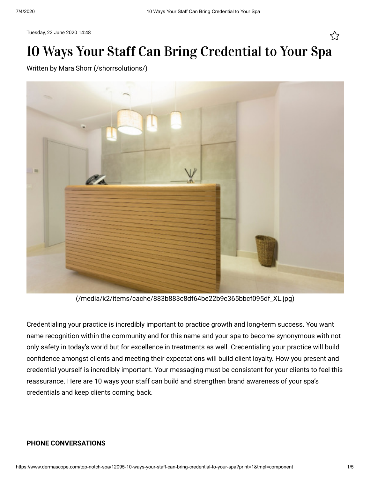Tuesday, 23 June 2020 14:48

# 10 Ways Your Staff Can Bring Credential to Your Spa

Written by [Mara Shorr \(/shorrsolutions/\)](https://www.dermascope.com/shorrsolutions/)



[\(/media/k2/items/cache/883b883c8df64be22b9c365bbcf095df\\_XL.jpg\)](https://www.dermascope.com/media/k2/items/cache/883b883c8df64be22b9c365bbcf095df_XL.jpg)

Credentialing your practice is incredibly important to practice growth and long-term success. You want name recognition within the community and for this name and your spa to become synonymous with not only safety in today's world but for excellence in treatments as well. Credentialing your practice will build confidence amongst clients and meeting their expectations will build client loyalty. How you present and credential yourself is incredibly important. Your messaging must be consistent for your clients to feel this reassurance. Here are 10 ways your staff can build and strengthen brand awareness of your spa's credentials and keep clients coming back.

# **PHONE CONVERSATIONS**

ኢን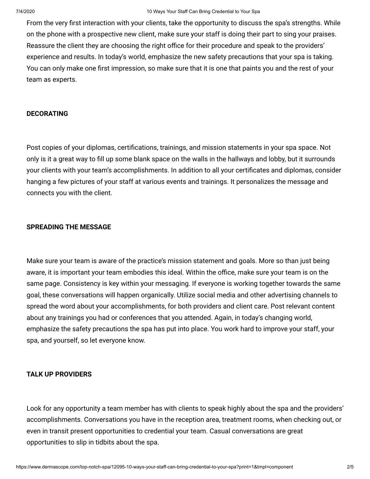From the very first interaction with your clients, take the opportunity to discuss the spa's strengths. While on the phone with a prospective new client, make sure your staff is doing their part to sing your praises. Reassure the client they are choosing the right office for their procedure and speak to the providers' experience and results. In today's world, emphasize the new safety precautions that your spa is taking. You can only make one first impression, so make sure that it is one that paints you and the rest of your team as experts.

# **DECORATING**

Post copies of your diplomas, certifications, trainings, and mission statements in your spa space. Not only is it a great way to fill up some blank space on the walls in the hallways and lobby, but it surrounds your clients with your team's accomplishments. In addition to all your certificates and diplomas, consider hanging a few pictures of your staff at various events and trainings. It personalizes the message and connects you with the client.

# **SPREADING THE MESSAGE**

Make sure your team is aware of the practice's mission statement and goals. More so than just being aware, it is important your team embodies this ideal. Within the office, make sure your team is on the same page. Consistency is key within your messaging. If everyone is working together towards the same goal, these conversations will happen organically. Utilize social media and other advertising channels to spread the word about your accomplishments, for both providers and client care. Post relevant content about any trainings you had or conferences that you attended. Again, in today's changing world, emphasize the safety precautions the spa has put into place. You work hard to improve your staff, your spa, and yourself, so let everyone know.

# **TALK UP PROVIDERS**

Look for any opportunity a team member has with clients to speak highly about the spa and the providers' accomplishments. Conversations you have in the reception area, treatment rooms, when checking out, or even in transit present opportunities to credential your team. Casual conversations are great opportunities to slip in tidbits about the spa.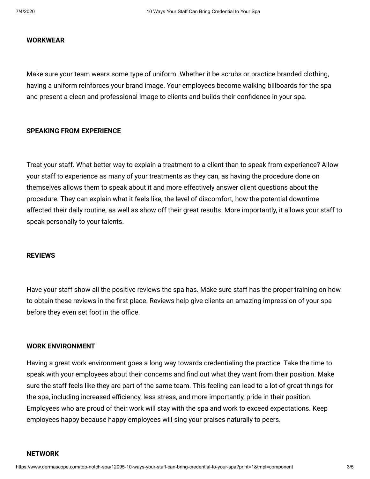# **WORKWEAR**

Make sure your team wears some type of uniform. Whether it be scrubs or practice branded clothing, having a uniform reinforces your brand image. Your employees become walking billboards for the spa and present a clean and professional image to clients and builds their confidence in your spa.

# **SPEAKING FROM EXPERIENCE**

Treat your staff. What better way to explain a treatment to a client than to speak from experience? Allow your staff to experience as many of your treatments as they can, as having the procedure done on themselves allows them to speak about it and more effectively answer client questions about the procedure. They can explain what it feels like, the level of discomfort, how the potential downtime affected their daily routine, as well as show off their great results. More importantly, it allows your staff to speak personally to your talents.

#### **REVIEWS**

Have your staff show all the positive reviews the spa has. Make sure staff has the proper training on how to obtain these reviews in the first place. Reviews help give clients an amazing impression of your spa before they even set foot in the office.

#### **WORK ENVIRONMENT**

Having a great work environment goes a long way towards credentialing the practice. Take the time to speak with your employees about their concerns and find out what they want from their position. Make sure the staff feels like they are part of the same team. This feeling can lead to a lot of great things for the spa, including increased efficiency, less stress, and more importantly, pride in their position. Employees who are proud of their work will stay with the spa and work to exceed expectations. Keep employees happy because happy employees will sing your praises naturally to peers.

## **NETWORK**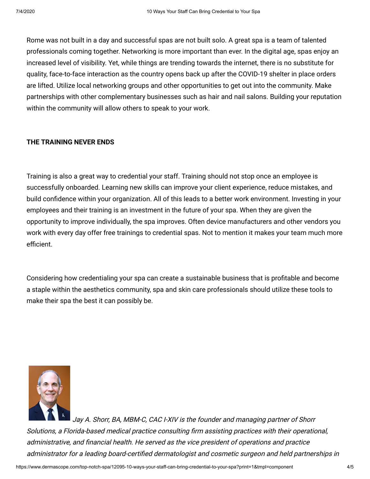Rome was not built in a day and successful spas are not built solo. A great spa is a team of talented professionals coming together. Networking is more important than ever. In the digital age, spas enjoy an increased level of visibility. Yet, while things are trending towards the internet, there is no substitute for quality, face-to-face interaction as the country opens back up after the COVID-19 shelter in place orders are lifted. Utilize local networking groups and other opportunities to get out into the community. Make partnerships with other complementary businesses such as hair and nail salons. Building your reputation within the community will allow others to speak to your work.

# **THE TRAINING NEVER ENDS**

Training is also a great way to credential your staff. Training should not stop once an employee is successfully onboarded. Learning new skills can improve your client experience, reduce mistakes, and build confidence within your organization. All of this leads to a better work environment. Investing in your employees and their training is an investment in the future of your spa. When they are given the opportunity to improve individually, the spa improves. Often device manufacturers and other vendors you work with every day offer free trainings to credential spas. Not to mention it makes your team much more efficient.

Considering how credentialing your spa can create a sustainable business that is profitable and become a staple within the aesthetics community, spa and skin care professionals should utilize these tools to make their spa the best it can possibly be.



Jay A. Shorr, BA, MBM-C, CAC I-XIV is the founder and managing partner of Shorr Solutions, a Florida-based medical practice consulting firm assisting practices with their operational, administrative, and financial health. He served as the vice president of operations and practice administrator for a leading board-certified dermatologist and cosmetic surgeon and held partnerships in